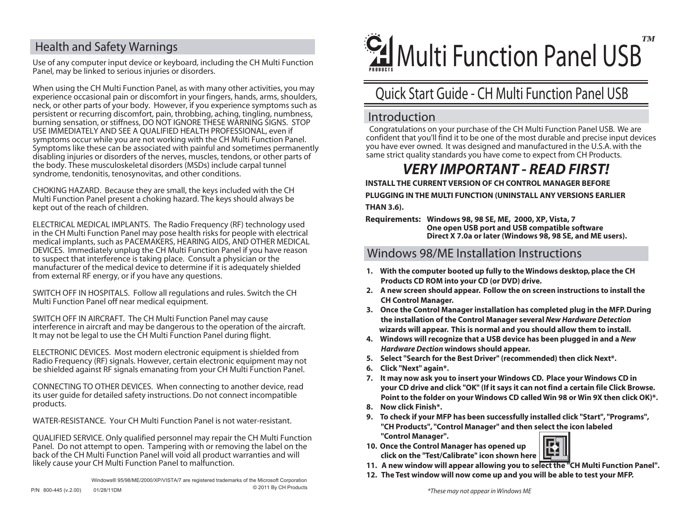## Health and Safety Warnings

Use of any computer input device or keyboard, including the CH Multi Function Panel, may be linked to serious injuries or disorders.

When using the CH Multi Function Panel, as with many other activities, you may experience occasional pain or discomfort in your fingers, hands, arms, shoulders, neck, or other parts of your body. However, if you experience symptoms such as persistent or recurring discomfort, pain, throbbing, aching, tingling, numbness, burning sensation, or stiffness, DO NOT IGNORE THESE WARNING SIGNS. STOP USE IMMEDIATELY AND SEE A QUALIFIED HEALTH PROFESSIONAL, even if symptoms occur while you are not working with the CH Multi Function Panel. Symptoms like these can be associated with painful and sometimes permanently disabling injuries or disorders of the nerves, muscles, tendons, or other parts of the body. These musculoskeletal disorders (MSDs) include carpal tunnel syndrome, tendonitis, tenosynovitas, and other conditions.

CHOKING HAZARD. Because they are small, the keys included with the CH Multi Function Panel present a choking hazard. The keys should always be kept out of the reach of children.

ELECTRICAL MEDICAL IMPLANTS. The Radio Frequency (RF) technology used in the CH Multi Function Panel may pose health risks for people with electrical medical implants, such as PACEMAKERS, HEARING AIDS, AND OTHER MEDICAL DEVICES. Immediately unplug the CH Multi Function Panel if you have reason to suspect that interference is taking place. Consult a physician or the manufacturer of the medical device to determine if it is adequately shielded from external RF energy, or if you have any questions.

SWITCH OFF IN HOSPITALS. Follow all regulations and rules. Switch the CH Multi Function Panel off near medical equipment.

SWITCH OFF IN AIRCRAFT. The CH Multi Function Panel may cause interference in aircraft and may be dangerous to the operation of the aircraft. It may not be legal to use the CH Multi Function Panel during flight.

ELECTRONIC DEVICES. Most modern electronic equipment is shielded from Radio Frequency (RF) signals. However, certain electronic equipment may not be shielded against RF signals emanating from your CH Multi Function Panel.

CONNECTING TO OTHER DEVICES. When connecting to another device, read its user guide for detailed safety instructions. Do not connect incompatible products.

WATER-RESISTANCE. Your CH Multi Function Panel is not water-resistant.

QUALIFIED SERVICE. Only qualified personnel may repair the CH Multi Function Panel. Do not attempt to open. Tampering with or removing the label on the back of the CH Multi Function Panel will void all product warranties and will likely cause your CH Multi Function Panel to malfunction.



# Quick Start Guide - CH Multi Function Panel USB

#### Introduction

Congratulations on your purchase of the CH Multi Function Panel USB. We are confident that you'll find it to be one of the most durable and precise input devices you have ever owned. It was designed and manufactured in the U.S.A. with the same strict quality standards you have come to expect from CH Products.

# *VERY IMPORTANT - READ FIRST!*

**INSTALL THE CURRENT VERSION OF CH CONTROL MANAGER BEFORE** 

**PLUGGING IN THE MULTI FUNCTION (UNINSTALL ANY VERSIONS EARLIER THAN 3.6).**

**Requirements: Windows 98, 98 SE, ME, 2000, XP, Vista, 7 One open USB port and USB compatible software Direct X 7.0a or later (Windows 98, 98 SE, and ME users).**

#### Windows 98/ME Installation Instructions

- **1. With the computer booted up fully to the Windows desktop, place the CH Products CD ROM into your CD (or DVD) drive.**
- **2. A new screen should appear. Follow the on screen instructions to install the CH Control Manager.**
- **3. Once the Control Manager installation has completed plug in the MFP.During the installation of the Control Manager several** *New Hardware Detection*  **wizards will appear. This is normal and you should allow them to install.**
- **4. Windows will recognize that a USB device has been plugged in and a** *New Hardware Dection* **windows should appear.**
- **5. Select "Search for the Best Driver" (recommended) then click Next\*.**
- **6. Click "Next" again\*.**
- **7. It may now ask you to insert your Windows CD. Place your Windows CD in your CD drive and click "OK" (If it says it can not find a certain file Click Browse. Point to the folder on your Windows CD called Win 98 or Win 9X then click OK)\*.**
- **8. Now click Finish\*.**
- **9. To check if your MFP has been successfully installed click "Start", "Programs", "CH Products", "Control Manager" and then select the icon labeled "Control Manager".**
- **10. Once the Control Manager has opened up click on the "Test/Calibrate" icon shown here**



- **11. A new window will appear allowing you to select the "CH Multi Function Panel".**
- **12. The Test window will now come up and you will be able to test your MFP.**